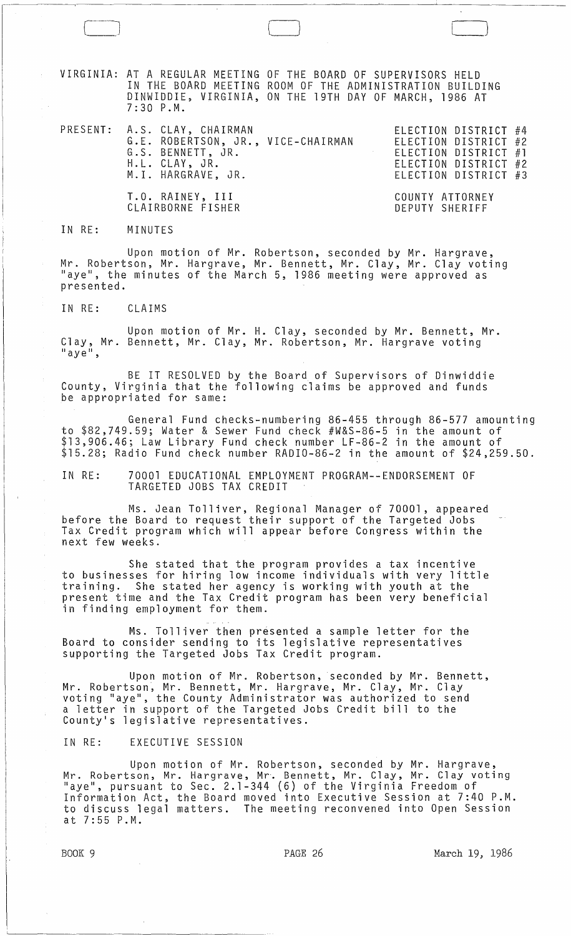VIRGINIA: AT A REGULAR MEETING OF THE BOARD OF SUPERVISORS HELD IN THE BOARD MEETING ROOM OF THE ADMINISTRATION BUILDING DINWIDDIE, VIRGINIA, ON THE 19TH DAY OF MARCH, 1986 AT 7:30 P.M.

 $\Box$ 

PRESENT: A.S. CLAY, CHAIRMAN ELECTION DISTRICT #4 ELECTION DISTRICT #2 ELECTION DISTRICT #1 ELECTION DISTRICT #2 ELECTION DISTRICT #3 G.E. ROBERTSON, JR., VICE-CHAIRMAN G.S. BENNETT, JR. H.L. CLAY, JR. M.I. HARGRAVE, JR. T.O. RAINEY, III CLAIRBORNE FISHER COUNTY ATTORNEY DEPUTY SHERIFF

## IN RE: MINUTES

Upon motion of Mr. Robertson, seconded by Mr. Hargrave, Mr. Robertson, Mr. Hargrave, Mr. Bennett, Mr. Clay, Mr. Clay voting "aye", the minutes of the March 5, 1986 meeting were approved as presented.

IN RE: CLAIMS

Upon motion of Mr. H. Clay, seconded by Mr. Bennett, Mr. Clay, Mr. Bennett, Mr. Clay, Mr. Robertson, Mr. Hargrave voting<br>"aye",

BE IT RESOLVED by the Board of Supervisors of Dinwiddie County, Virginia that the following claims be approved and funds be appropriated for same:

General Fund checks-numbering 86-455 through 86-577 amounting to \$82,749.59; Water & Sewer Fund check #W&S-86-5 in the amount of \$13,906.46; Law Library Fund check number LF-86-2 in the amount of \$15.28; Radio Fund check number RADIO-86-2 in the amount of \$24,259.50.

IN RE: 70001 EDUCATIONAL EMPLOYMENT PROGRAM--ENDORSEMENT OF TARGETED JOBS TAX CREDIT

Ms. Jean Tolliver, Regional Manager of 70001, appeared before the Board to request their support of the Targeted Jobs Tax Credit program which will appear before Congress within the next few weeks.

She stated that the program provides a tax incentive to businesses for hiring low income individuals with very little training. She stated her agency is working with youth at the present time and the Tax Credit program has been very beneficial in finding employment for them.

Ms. Tolliver then presented a sample letter for the Board to consider sending to its legislative representatives supporting the Targeted Jobs Tax Credit program.

Upon motion of Mr. Robertson, seconded by Mr. Bennett, Mr. Robertson, Mr. Bennett, Mr. Hargrave, Mr. Clay, Mr. Clay voting "aye", the County Administrator was authorized to send a letter in support of the Targeted Jobs Credit bill to the County's legislative representatives.

IN RE: EXECUTIVE SESSION

Upon motion of Mr. Robertson, seconded by Mr. Hargrave, Mr. Robertson, Mr. Hargrave, Mr. Bennett, Mr. Clay, Mr. Clay voting "aye", pursuant to Sec. 2.1-344 (6) of the Virginia Freedom of Information Act, the Board moved into Executive Session at 7:40 P.M. to discuss legal matters. The meeting reconvened into Open Session at 7:55 P.M.

BOOK 9 **PAGE 26** March 19, 1986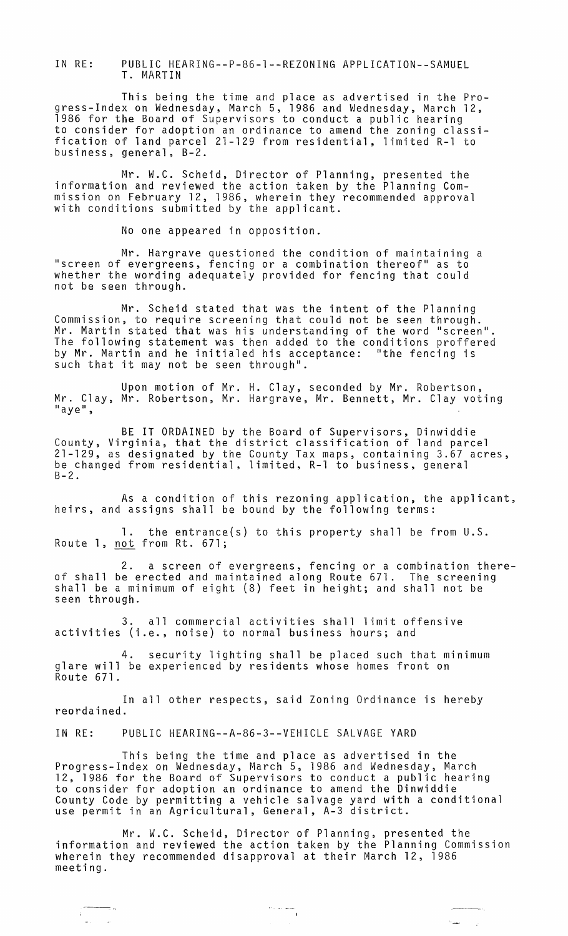IN RE: PUBLIC HEARING--P-86-1--REZONING APPLICATION--SAMUEL T. MARTIN

This being the time and place as advertised in the Progress-Index on Wednesday, March 5, 1986 and Wednesday, March 12, 1986 for the Board of Supervisors to conduct a public hearing to consider for adoption an ordinance to amend the zoning classification of land parcel 21-129 from residential, limited R-l to business, general, B-2.

Mr. W.C. Scheid, Director of Planning, presented the information and reviewed the action taken by the Planning Commission on February 12, 1986, wherein they recommended approval with conditions submitted by the applicant.

No one appeared in opposition.

Mr. Hargrave questioned the condition of maintaining a "screen of evergreens, fencing or a combination thereof" as to whether the wording adequately provided for fencing that could not be seen through.

Mr. Scheid stated that was the intent of the Planning Commission, to require screening that could not be seen through. Mr. Martin stated that was his understanding of the word "screen". The following statement was then added to the conditions proffered by Mr. Martin and he initialed his acceptance: "the fencing is such that it may not be seen through".

Upon motion of Mr. H. Clay, seconded by Mr. Robertson, Mr. Clay, Mr. Robertson, Mr. Hargrave, Mr. Bennett, Mr. Clay voting<br>"aye",

BE IT ORDAINED by the Board of Supervisors, Dinwiddie County, Virginia, that the district classification of land parcel 21-129, as designated by the County Tax maps, containing 3.67 acres, be changed from residential, limited, R-l to business, general  $B-2$ .

As a condition of this rezoning application, the applicant, heirs, and assigns shall be bound by the following terms:

1. the entrance(s) to this property shall be from U.S. Route 1, not from Rt. 671;

2. a screen of evergreens, fencing or a combination thereof shall be erected and maintained along Route 671. The screening shall be a minimum of eight (8) feet in height; and shall not be seen through.

3. all commercial activities shall limit offensive activities (i.e., noise) to normal business hours; and

4. security lighting shall be placed such that minimum glare will be experienced by residents whose homes front on Route 671.

In all other respects, said Zoning Ordinance is hereby reordained.

IN RE: PUBLIC HEARING--A-86-3--VEHICLE SALVAGE YARD

This being the time and place as advertised in the Progress-Index on Wednesday, March 5, 1986 and Wednesday, March 12, 1986 for the Board of Supervisors to conduct a public hearing to consider for adoption an ordinance to amend the Dinwiddie County Code by permitting a vehicle salvage yard with a conditional use permit in an Agricultural, General, A-3 district.

Mr. W.C. Scheid, Director of Planning, presented the information and reviewed the action taken by the Planning Commission wherein they recommended disapproval at their March 12, 1986 meeting.

 $\frac{1}{2} \left( \frac{1}{2} \right) \left( \frac{1}{2} \right) \left( \frac{1}{2} \right)$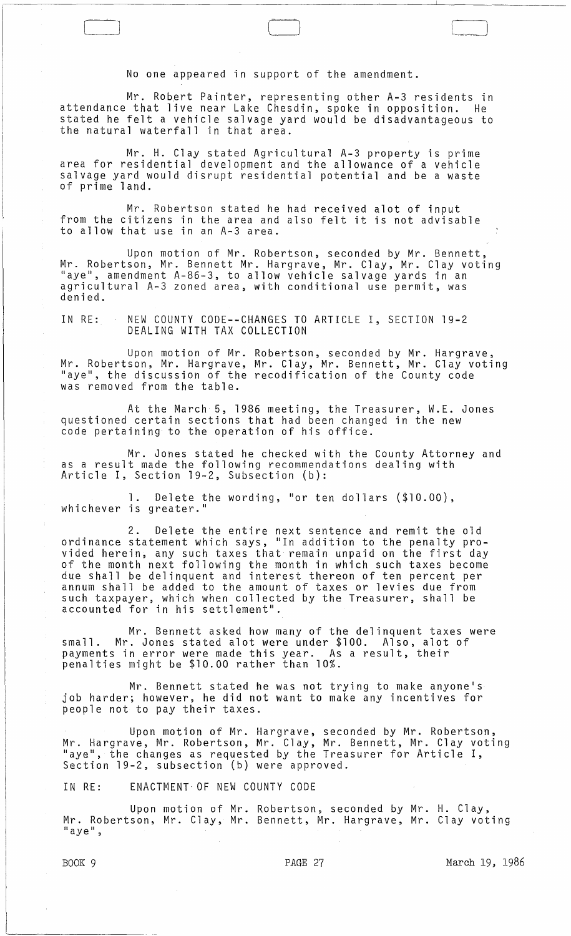No one appeared in support of the amendment.

 $\vert \hspace{.1cm} \vert$ 

Mr. Robert Painter, representing other A-3 residents in attendance that live near Lake Chesdin, spoke in opposition. He stated he felt a vehicle salvage yard would be disadvantageous to the natural waterfall in that area.

Mr. H. Clay stated Agricultural A-3 property is prime area for residential development and the allowance of a vehicle salvage yard would disrupt residential potential and be a waste of prime land.

Mr. Robertson stated he had received alot of input from the citizens in the area and also felt it is not advisable to allow that use in an A-3 area.

Upon motion of Mr. Robertson, seconded by Mr. Bennett, Mr. Robertson, Mr. Bennett Mr. Hargrave, Mr. Clay, Mr. Clay voting "aye", amendment A-86-3, to allow vehicle salvage yards in an agricultural A-3 zoned area, with conditional use permit, was denied.

IN RE: NEW COUNTY CODE--CHANGES TO ARTICLE I, SECTION 19-2 DEALING WITH TAX COLLECTION

Upon motion of Mr. Robertson, seconded by Mr. Hargrave, Mr. Robertson, Mr. Hargrave, Mr. Clay, Mr. Bennett, Mr. Clay voting "aye", the discussion of the recodification of the County code was removed from the table.

At the March 5, 1986 meeting, the Treasurer, W.E. Jones questioned certain sections that had been changed in the new code pertaining to the operation of his office.

Mr. Jones stated he checked with the County Attorney and as a result made the following recommendations dealing with Article I, Section 19-2, Subsection (b):

1. Delete the wording, "or ten dollars (\$10.00), whichever is greater."

2. Delete the entire next sentence and remit the old ordinance statement which says, "In addition to the penalty provided herein, any such taxes that remain unpaid on the first day of the month next following the month in which such taxes become due shall be delinquent and interest thereon of ten percent per annum shall be added to the amount of taxes or levies due from such taxpayer, which when collected by the Treasurer, shall be accounted for in his settlement".

Mr. Bennett asked how many of the delinquent taxes were small. Mr. Jones stated alot were under \$100. Also, alot of payments in error were made this year. As a result, their penalties might be \$10.00 rather than 10%.

Mr. Bennett stated he was not trying to make anyone's job harder; however, he did not want to make any incentives for people not to pay their taxes.

Upon motion of Mr. Hargrave, seconded by Mr. Robertson, Mr. Hargrave, Mr. Robertson, Mr. Clay, Mr. Bennett, Mr. Clay voting "aye", the changes as requested by the Treasurer for Article I, Section 19-2, subsection (b) were approved.

IN RE: ENACTMENT- OF NEW COUNTY CODE

Upon motion of Mr. Robertson, seconded by Mr. H. Clay, Mr. Robertson, Mr. Clay, Mr. Bennett, Mr. Hargrave, Mr. Clay voting<br>"aye",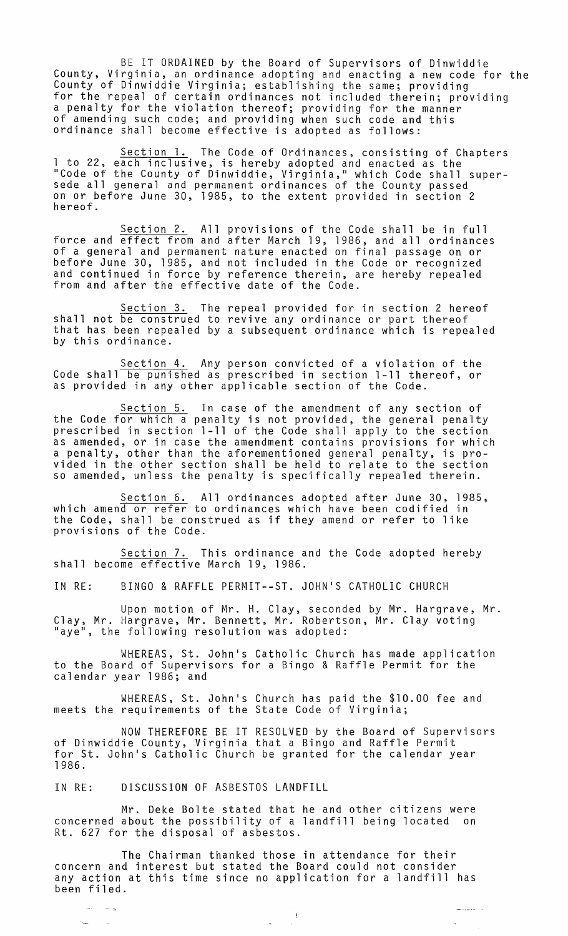BE IT ORDAINED by the Board of Supervisors of Dinwiddie County, Virginia, an ordinance adopting and enacting a new code for the County of Dinwiddie Virginia; establishing the same; providing for the repeal of certain ordinances not included therein; providing a penalty for the violation thereof; providing for the manner of amending such code; and providing when such code and this ordinance shall become effective is adopted as follows:

Section 1. The Code of Ordinances, consisting of Chapters 1 to 22, each inclusive, is hereby adopted and enacted as the "Code of the County of Dinwiddie, Virginia," which Code shall supersede all general and permanent ordinances of the County passed on or before June 30, 1985, to the extent provided in section 2 hereof.

Section 2. All provisions of the Code shall be in full force and effect from and after March 19, 1986, and all ordinances of a general and permanent nature enacted on final passage on or before June 30, 1985, and not included in the Code or recognized and continued in force by reference therein, are hereby repealed from and after the effective date of the Code.

Section 3. The repeal provided for in section 2 hereof shall not be construed to revive any ordinance or part thereof that has been repealed by a subsequent ordinance which is repealed<br>by this ordinance.

Section 4. Any person convicted of a violation of the Code shall be punished as prescribed in section 1-11 thereof, or as provided in any other applicable section of the Code.

Section 5. In case of the amendment of any section of the Code for which a penalty is not provided, the general penalty prescribed in section 1-11 of the Code shall apply to the section as amended, or in case the amendment contains provisions for which a penalty, other than the aforementioned general penalty, is provided in the other section shall be held to relate to the section so amended, unless the penalty is specifically repealed therein.

Section 6. All ordinances adopted after June 30, 1985, which amend or refer to ordinances which have been codified in the Code, shall be construed as if they amend or refer to like provisions of the Code.

Section 7. This ordinance and the Code adopted hereby shall become effective March 19, 1986.

IN RE: BINGO & RAFFLE PERMIT--ST. JOHN'S CATHOLIC CHURCH

Upon motion of Mr. H. Clay, seconded by Mr. Hargrave, Mr. Clay, Mr. Hargrave, Mr. Bennett, Mr. Robertson, Mr. Clay voting<br>"aye", the following resolution was adopted:

WHEREAS, St. John's Catholic Church has made application to the Board of Supervisors for a Bingo & Raffle Permit for the calendar year 1986; and

WHEREAS, St. John's Church has paid the \$10.00 fee and meets the requirements of the State Code of Virginia;

NOW THEREFORE BE IT RESOLVED by the Board of Supervisors of Dinwiddie County, Virginia that a Bingo and Raffle Permit for St. John's Catholic Church be granted for the calendar year 1986.

IN RE: DISCUSSION OF ASBESTOS LANDFILL

 $\sim$ 

 $\sim$ 

Mr. Deke Bolte stated that he and other citizens were concerned about the possibility of a landfill being located on Rt. 627 for the disposal of asbestos.

The Chairman thanked those in attendance for their concern and interest but stated the Board could not consider any action at this time since no application for a landfill has been filed.

رداد موسط سا

÷.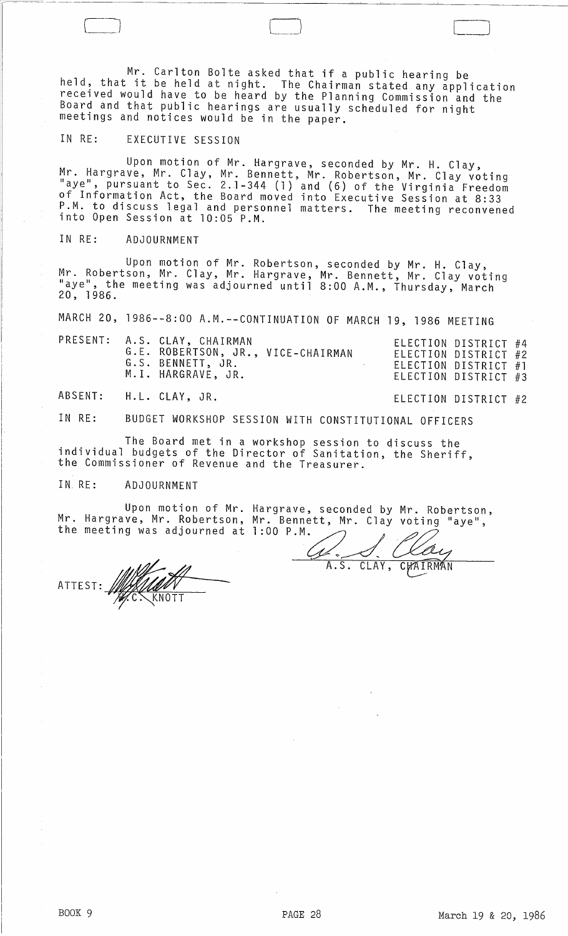Mr. Carlton Bolte asked that if a public hearing be held, that it be held at night. The Chairman stated any application received would have to be heard by the Planning Commission and the Board and that public hearings are usually scheduled for night meetings and notices would be in the paper.

## IN RE: EXECUTIVE SESSION

Upon motion of Mr. Hargrave, seconded by Mr. H. Clay, Mr. Hargrave, Mr. Clay, Mr. Bennett, Mr. Robertson, Mr. Clay voting "aye", pursuant to Sec. 2.1-344 (1) and (6) of the Virginia Freedom of Information Act, the Board moved into Executive Session at 8:33 P.M. to discuss legal and personnel matters. The meeting reconvened into Open Session at 10:05 P.M.

## IN RE: ADJOURNMENT

Upon motion of Mr. Robertson, seconded by Mr. H. Clay, Mr. Robertson, Mr. Clay, Mr. Hargrave, Mr. Bennett, Mr. Clay voting "aye", the meeting was adjourned until 8:00 A.M., Thursday, March 20, 1986.

MARCH 20, 1986 -- 8:00 A.M. -- CONTINUATION OF MARCH 19, 1986 MEETING

| ELECTION DISTRICT #4<br>ELECTION DISTRICT #2<br>ELECTION DISTRICT #1 |                      |
|----------------------------------------------------------------------|----------------------|
|                                                                      | ELECTION DISTRICT #3 |

ABSENT: H. L. CLAY, JR. ELECTION DISTRICT #2

IN RE: BUDGET WORKSHOP SESSION WITH CONSTITUTIONAL OFFICERS

The Board met in a workshop session to discuss the individual budgets of the Director of Sanitation, the Sheriff, the Commissioner of Revenue and the Treasurer.

## IN. RE: ADJOURNMENT

Upon motion of Mr. Hargrave, seconded by Mr. Robertson, Mr. Hargrave, Mr. Robertson, the meeting was adjourned at Mr. Bennett, Mr. Clay voting "aye",

ATTEST:

1:00 P.M. A.S. CLAY, CHAIRMAN

 $\Box$